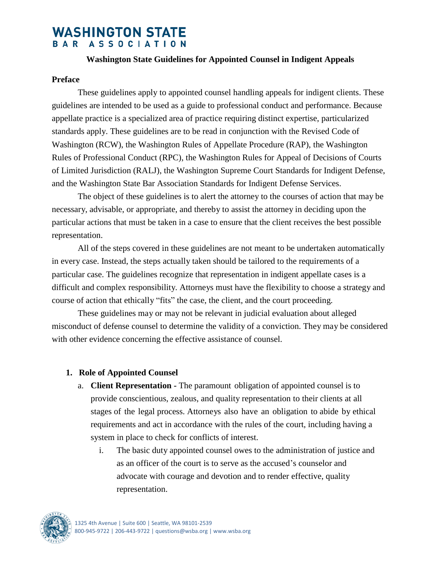# **WASHINGTON STATE** BAR ASSOCIATION

#### **Washington State Guidelines for Appointed Counsel in Indigent Appeals**

#### **Preface**

These guidelines apply to appointed counsel handling appeals for indigent clients. These guidelines are intended to be used as a guide to professional conduct and performance. Because appellate practice is a specialized area of practice requiring distinct expertise, particularized standards apply. These guidelines are to be read in conjunction with the Revised Code of Washington (RCW), the Washington Rules of Appellate Procedure (RAP), the Washington Rules of Professional Conduct (RPC), the Washington Rules for Appeal of Decisions of Courts of Limited Jurisdiction (RALJ), the Washington Supreme Court Standards for Indigent Defense, and the Washington State Bar Association Standards for Indigent Defense Services.

The object of these guidelines is to alert the attorney to the courses of action that may be necessary, advisable, or appropriate, and thereby to assist the attorney in deciding upon the particular actions that must be taken in a case to ensure that the client receives the best possible representation.

All of the steps covered in these guidelines are not meant to be undertaken automatically in every case. Instead, the steps actually taken should be tailored to the requirements of a particular case. The guidelines recognize that representation in indigent appellate cases is a difficult and complex responsibility. Attorneys must have the flexibility to choose a strategy and course of action that ethically "fits" the case, the client, and the court proceeding.

These guidelines may or may not be relevant in judicial evaluation about alleged misconduct of defense counsel to determine the validity of a conviction. They may be considered with other evidence concerning the effective assistance of counsel.

#### **1. Role of Appointed Counsel**

- a. **Client Representation -** The paramount obligation of appointed counsel is to provide conscientious, zealous, and quality representation to their clients at all stages of the legal process. Attorneys also have an obligation to abide by ethical requirements and act in accordance with the rules of the court, including having a system in place to check for conflicts of interest.
	- i. The basic duty appointed counsel owes to the administration of justice and as an officer of the court is to serve as the accused's counselor and advocate with courage and devotion and to render effective, quality representation.

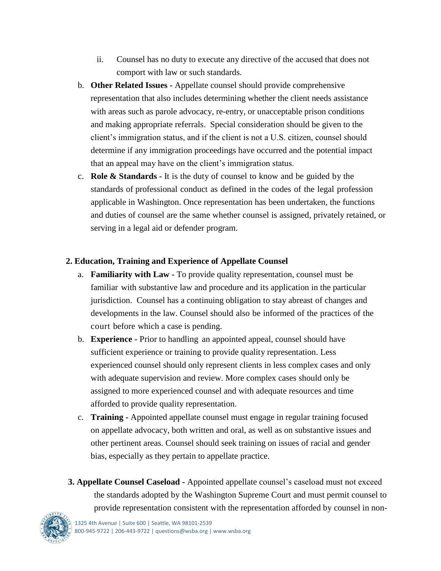- ii. Counsel has no duty to execute any directive of the accused that does not comport with law or such standards.
- b. **Other Related Issues -** Appellate counsel should provide comprehensive representation that also includes determining whether the client needs assistance with areas such as parole advocacy, re-entry, or unacceptable prison conditions and making appropriate referrals. Special consideration should be given to the client's immigration status, and if the client is not a U.S. citizen, counsel should determine if any immigration proceedings have occurred and the potential impact that an appeal may have on the client's immigration status.
- c. **Role & Standards -** It is the duty of counsel to know and be guided by the standards of professional conduct as defined in the codes of the legal profession applicable in Washington. Once representation has been undertaken, the functions and duties of counsel are the same whether counsel is assigned, privately retained, or serving in a legal aid or defender program.

## **2. Education, Training and Experience of Appellate Counsel**

- a. **Familiarity with Law -** To provide quality representation, counsel must be familiar with substantive law and procedure and its application in the particular jurisdiction. Counsel has a continuing obligation to stay abreast of changes and developments in the law. Counsel should also be informed of the practices of the court before which a case is pending.
- b. **Experience -** Prior to handling an appointed appeal, counsel should have sufficient experience or training to provide quality representation. Less experienced counsel should only represent clients in less complex cases and only with adequate supervision and review. More complex cases should only be assigned to more experienced counsel and with adequate resources and time afforded to provide quality representation.
- c. **Training -** Appointed appellate counsel must engage in regular training focused on appellate advocacy, both written and oral, as well as on substantive issues and other pertinent areas. Counsel should seek training on issues of racial and gender bias, especially as they pertain to appellate practice.
- **3. Appellate Counsel Caseload -** Appointed appellate counsel's caseload must not exceed the standards adopted by the Washington Supreme Court and must permit counsel to provide representation consistent with the representation afforded by counsel in non-

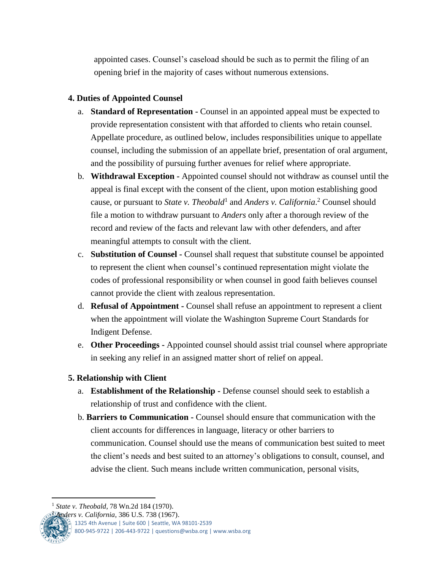appointed cases. Counsel's caseload should be such as to permit the filing of an opening brief in the majority of cases without numerous extensions.

## **4. Duties of Appointed Counsel**

- a. **Standard of Representation -** Counsel in an appointed appeal must be expected to provide representation consistent with that afforded to clients who retain counsel. Appellate procedure, as outlined below, includes responsibilities unique to appellate counsel, including the submission of an appellate brief, presentation of oral argument, and the possibility of pursuing further avenues for relief where appropriate.
- b. **Withdrawal Exception -** Appointed counsel should not withdraw as counsel until the appeal is final except with the consent of the client, upon motion establishing good cause, or pursuant to *State v. Theobald*<sup>1</sup> and *Anders v. California*. <sup>2</sup> Counsel should file a motion to withdraw pursuant to *Anders* only after a thorough review of the record and review of the facts and relevant law with other defenders, and after meaningful attempts to consult with the client.
- c. **Substitution of Counsel -** Counsel shall request that substitute counsel be appointed to represent the client when counsel's continued representation might violate the codes of professional responsibility or when counsel in good faith believes counsel cannot provide the client with zealous representation.
- d. **Refusal of Appointment -** Counsel shall refuse an appointment to represent a client when the appointment will violate the Washington Supreme Court Standards for Indigent Defense.
- e. **Other Proceedings -** Appointed counsel should assist trial counsel where appropriate in seeking any relief in an assigned matter short of relief on appeal.

## **5. Relationship with Client**

- a. **Establishment of the Relationship -** Defense counsel should seek to establish a relationship of trust and confidence with the client.
- b. **Barriers to Communication -** Counsel should ensure that communication with the client accounts for differences in language, literacy or other barriers to communication. Counsel should use the means of communication best suited to meet the client's needs and best suited to an attorney's obligations to consult, counsel, and advise the client. Such means include written communication, personal visits,

 $\mathbb{R}$  1325 4th Avenue | Suite 600 | Seattle, WA 98101-2539

800-945-9722 | 206-443-9722 | questions@wsba.org | www.wsba.org

 $\overline{a}$ <sup>1</sup> *State v. Theobald*, 78 Wn.2d 184 (1970).

<sup>2</sup> *Anders v. California*, 386 U.S. 738 (1967).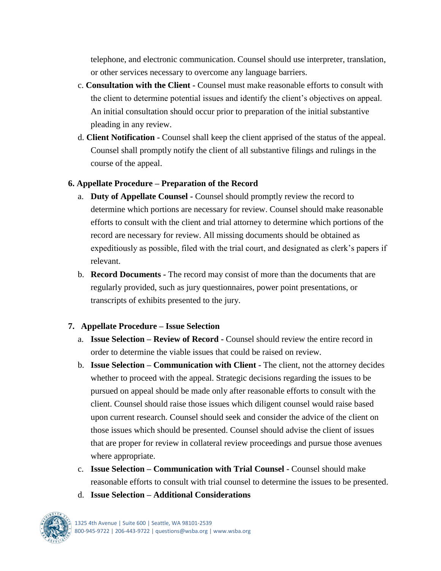telephone, and electronic communication. Counsel should use interpreter, translation, or other services necessary to overcome any language barriers.

- c. **Consultation with the Client -** Counsel must make reasonable efforts to consult with the client to determine potential issues and identify the client's objectives on appeal. An initial consultation should occur prior to preparation of the initial substantive pleading in any review.
- d. **Client Notification -** Counsel shall keep the client apprised of the status of the appeal. Counsel shall promptly notify the client of all substantive filings and rulings in the course of the appeal.

#### **6. Appellate Procedure – Preparation of the Record**

- a. **Duty of Appellate Counsel -** Counsel should promptly review the record to determine which portions are necessary for review. Counsel should make reasonable efforts to consult with the client and trial attorney to determine which portions of the record are necessary for review. All missing documents should be obtained as expeditiously as possible, filed with the trial court, and designated as clerk's papers if relevant.
- b. **Record Documents -** The record may consist of more than the documents that are regularly provided, such as jury questionnaires, power point presentations, or transcripts of exhibits presented to the jury.

## **7. Appellate Procedure – Issue Selection**

- a. **Issue Selection – Review of Record -** Counsel should review the entire record in order to determine the viable issues that could be raised on review.
- b. **Issue Selection – Communication with Client -** The client, not the attorney decides whether to proceed with the appeal. Strategic decisions regarding the issues to be pursued on appeal should be made only after reasonable efforts to consult with the client. Counsel should raise those issues which diligent counsel would raise based upon current research. Counsel should seek and consider the advice of the client on those issues which should be presented. Counsel should advise the client of issues that are proper for review in collateral review proceedings and pursue those avenues where appropriate.
- c. **Issue Selection – Communication with Trial Counsel -** Counsel should make reasonable efforts to consult with trial counsel to determine the issues to be presented.
- d. **Issue Selection – Additional Considerations**

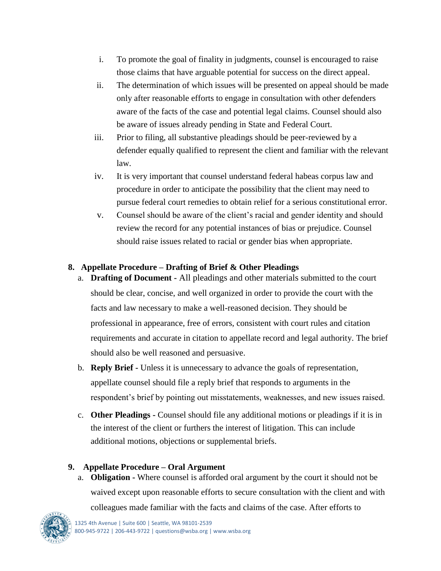- i. To promote the goal of finality in judgments, counsel is encouraged to raise those claims that have arguable potential for success on the direct appeal.
- ii. The determination of which issues will be presented on appeal should be made only after reasonable efforts to engage in consultation with other defenders aware of the facts of the case and potential legal claims. Counsel should also be aware of issues already pending in State and Federal Court.
- iii. Prior to filing, all substantive pleadings should be peer-reviewed by a defender equally qualified to represent the client and familiar with the relevant law.
- iv. It is very important that counsel understand federal habeas corpus law and procedure in order to anticipate the possibility that the client may need to pursue federal court remedies to obtain relief for a serious constitutional error.
- v. Counsel should be aware of the client's racial and gender identity and should review the record for any potential instances of bias or prejudice. Counsel should raise issues related to racial or gender bias when appropriate.

## **8. Appellate Procedure – Drafting of Brief & Other Pleadings**

- a. **Drafting of Document -** All pleadings and other materials submitted to the court should be clear, concise, and well organized in order to provide the court with the facts and law necessary to make a well-reasoned decision. They should be professional in appearance, free of errors, consistent with court rules and citation requirements and accurate in citation to appellate record and legal authority. The brief should also be well reasoned and persuasive.
- b. **Reply Brief -** Unless it is unnecessary to advance the goals of representation, appellate counsel should file a reply brief that responds to arguments in the respondent's brief by pointing out misstatements, weaknesses, and new issues raised.
- c. **Other Pleadings -** Counsel should file any additional motions or pleadings if it is in the interest of the client or furthers the interest of litigation. This can include additional motions, objections or supplemental briefs.

## **9. Appellate Procedure – Oral Argument**

a. **Obligation -** Where counsel is afforded oral argument by the court it should not be waived except upon reasonable efforts to secure consultation with the client and with colleagues made familiar with the facts and claims of the case. After efforts to

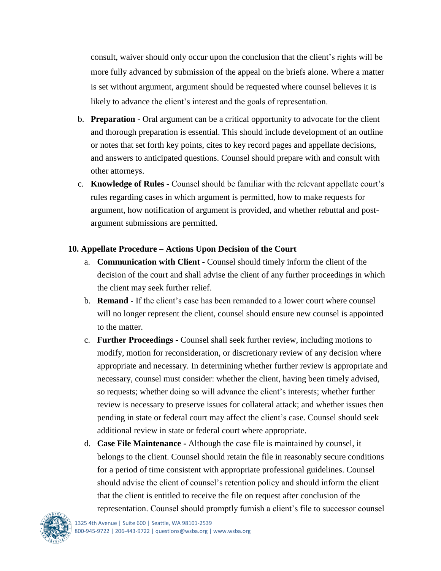consult, waiver should only occur upon the conclusion that the client's rights will be more fully advanced by submission of the appeal on the briefs alone. Where a matter is set without argument, argument should be requested where counsel believes it is likely to advance the client's interest and the goals of representation.

- b. **Preparation -** Oral argument can be a critical opportunity to advocate for the client and thorough preparation is essential. This should include development of an outline or notes that set forth key points, cites to key record pages and appellate decisions, and answers to anticipated questions. Counsel should prepare with and consult with other attorneys.
- c. **Knowledge of Rules -** Counsel should be familiar with the relevant appellate court's rules regarding cases in which argument is permitted, how to make requests for argument, how notification of argument is provided, and whether rebuttal and postargument submissions are permitted.

## **10. Appellate Procedure – Actions Upon Decision of the Court**

- a. **Communication with Client -** Counsel should timely inform the client of the decision of the court and shall advise the client of any further proceedings in which the client may seek further relief.
- b. **Remand -** If the client's case has been remanded to a lower court where counsel will no longer represent the client, counsel should ensure new counsel is appointed to the matter.
- c. **Further Proceedings -** Counsel shall seek further review, including motions to modify, motion for reconsideration, or discretionary review of any decision where appropriate and necessary. In determining whether further review is appropriate and necessary, counsel must consider: whether the client, having been timely advised, so requests; whether doing so will advance the client's interests; whether further review is necessary to preserve issues for collateral attack; and whether issues then pending in state or federal court may affect the client's case. Counsel should seek additional review in state or federal court where appropriate.
- d. **Case File Maintenance -** Although the case file is maintained by counsel, it belongs to the client. Counsel should retain the file in reasonably secure conditions for a period of time consistent with appropriate professional guidelines. Counsel should advise the client of counsel's retention policy and should inform the client that the client is entitled to receive the file on request after conclusion of the representation. Counsel should promptly furnish a client's file to successor counsel